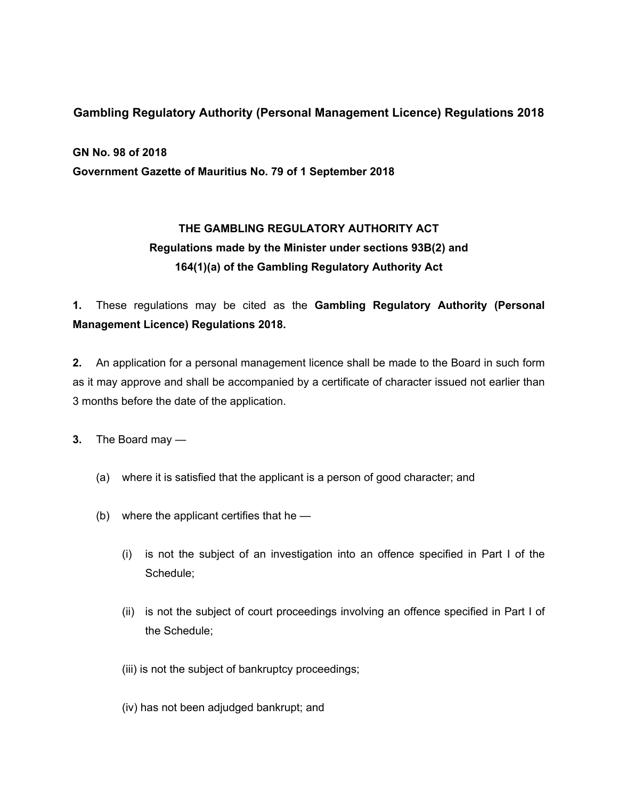### **Gambling Regulatory Authority (Personal Management Licence) Regulations 2018**

**GN No. 98 of 2018**

**Government Gazette of Mauritius No. 79 of 1 September 2018**

# **THE GAMBLING REGULATORY AUTHORITY ACT Regulations made by the Minister under sections 93B(2) and 164(1)(a) of the Gambling Regulatory Authority Act**

**1.** These regulations may be cited as the **Gambling Regulatory Authority (Personal Management Licence) Regulations 2018.**

**2.** An application for a personal management licence shall be made to the Board in such form as it may approve and shall be accompanied by a certificate of character issued not earlier than 3 months before the date of the application.

**3.** The Board may —

- (a) where it is satisfied that the applicant is a person of good character; and
- (b) where the applicant certifies that he
	- (i) is not the subject of an investigation into an offence specified in Part I of the Schedule;
	- (ii) is not the subject of court proceedings involving an offence specified in Part I of the Schedule;
	- (iii) is not the subject of bankruptcy proceedings;
	- (iv) has not been adjudged bankrupt; and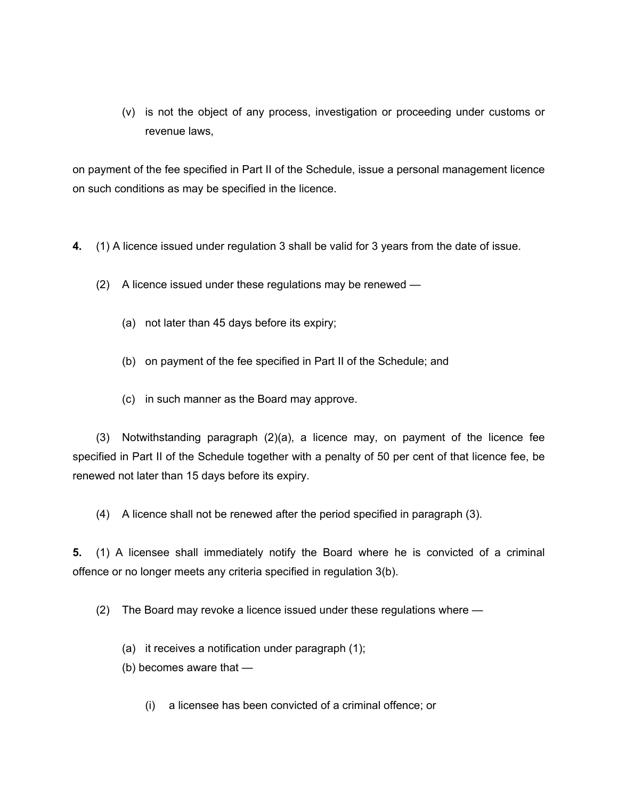(v) is not the object of any process, investigation or proceeding under customs or revenue laws,

on payment of the fee specified in Part II of the Schedule, issue a personal management licence on such conditions as may be specified in the licence.

- **4.** (1) A licence issued under regulation 3 shall be valid for 3 years from the date of issue.
	- (2) A licence issued under these regulations may be renewed
		- (a) not later than 45 days before its expiry;
		- (b) on payment of the fee specified in Part II of the Schedule; and
		- (c) in such manner as the Board may approve.

(3) Notwithstanding paragraph (2)(a), a licence may, on payment of the licence fee specified in Part II of the Schedule together with a penalty of 50 per cent of that licence fee, be renewed not later than 15 days before its expiry.

(4) A licence shall not be renewed after the period specified in paragraph (3).

**5.** (1) A licensee shall immediately notify the Board where he is convicted of a criminal offence or no longer meets any criteria specified in regulation 3(b).

(2) The Board may revoke a licence issued under these regulations where —

(a) it receives a notification under paragraph (1);

(b) becomes aware that —

(i) a licensee has been convicted of a criminal offence; or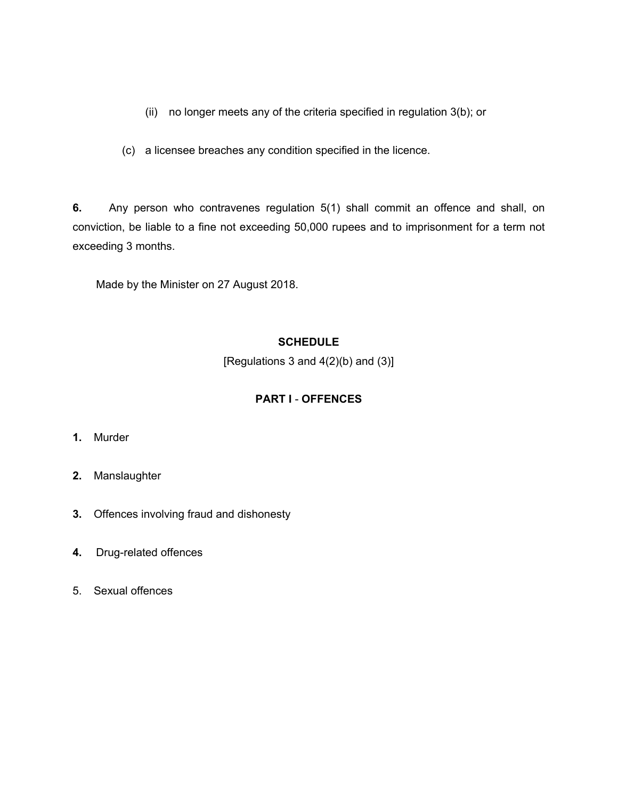- (ii) no longer meets any of the criteria specified in regulation 3(b); or
- (c) a licensee breaches any condition specified in the licence.

**6.** Any person who contravenes regulation 5(1) shall commit an offence and shall, on conviction, be liable to a fine not exceeding 50,000 rupees and to imprisonment for a term not exceeding 3 months.

Made by the Minister on 27 August 2018.

#### **SCHEDULE**

[Regulations 3 and  $4(2)(b)$  and  $(3)$ ]

### **PART I** - **OFFENCES**

- **1.** Murder
- **2.** Manslaughter
- **3.** Offences involving fraud and dishonesty
- **4.** Drug-related offences
- 5. Sexual offences